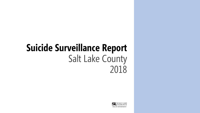# **Suicide Surveillance Report** Salt Lake County 2018

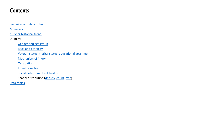#### <span id="page-1-0"></span>**Contents**

[Technical and data notes](#page-2-0)

**[Summary](#page-3-0)** 

[10-year historical trend](#page-4-0)

2018 by…

[Gender and age group](#page-5-0)

[Race and ethnicity](#page-6-0)

[Veteran status, marital status, educational attainment](#page-7-0)

[Mechanism of injury](#page-8-0)

**[Occupation](#page-9-0)** 

[Industry sector](#page-10-0)

[Social determinants of health](#page-11-0)

Spatial distribution ([density,](#page-12-0) [count,](#page-13-0) [rate](#page-14-0))

[Data tables](#page-15-0)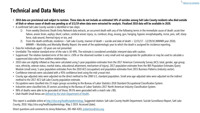### <span id="page-2-0"></span>**Technical and Data Notes**

- **2018 data are provisional and subject to revision. These data do not include an estimated 10% of suicides among Salt Lake County residents who died outside of Utah or whose cause of death was pending as of 3/1/19 when data were extracted for analysis. Finalized 2018 data will be available in 2020.**
- A confirmed Salt Lake County suicide is identified in two steps:
	- 1) From weekly Electronic Death Entry Network data extracts, an occurrent death with any of the following terms in the immediate cause of death: acute liver failure, anoxic brain, asphyx, blunt, carbon, cerebral anoxic injury, co, combust, drug, exsang, gun, hanging, hypoxic encephalopathy, incise, pois, self, sharp force, stab wound, thermal injury or tox, and
	- 2) From the death certificate, residence = Salt Lake County, manner of death = suicide and date of death = 12/31/17 12/29/18 (MMWR year 2018). MMWR = Morbidity and Mortality Weekly Report, the week of the epidemiologic year to which the death is assigned for incidence reporting.
- Data for individuals aged <10 years are not presented.
- Unreliable: The relative standard error of the rate is 30-49%. The estimate is considered unreliable; interpret data with caution.
- Suppressed: The relative standard error of the rate is ≥50% or the observed number is very small and not appropriate for publication or may be used to calculate a suppressed data value from additive relationships.
- 2018 rates are slightly inflated as they were calculated using 5-year population estimates from the 2017 American Community Survey (ACS; total, gender, age group, race, ethnicity, veteran status, marital status, educational attainment, mechanism of injury), 2017 population estimates from the IBIS Population Estimates Query Module (small area), 5-year population estimates from the 2010 ACS (occupation) and population estimates from 2015 Business Patterns (industry sector).
- Confidence intervals were calculated with a 95% confidence level using the mid- $p$  exact test.
- County age-adjusted rates were adjusted via the direct method to the 2000 U.S. standard population. Small area age-adjusted rates were adjusted via the indirect method to the 2017 ACS Salt Lake County population estimate.
- Occupations were classified into 23 major groups according to the Bureau of Labor Statistics 2018 Standard Occupational Classification System.
- Industries were classified into 20 sectors according to the Bureau of Labor Statistics 2017 North American Industry Classification System.
- 98% of deaths were able to be geocoded (of those, 99.5% were geocoded with a match rate ≥90).
- Utah Health Small Areas are [defined by the Utah Department of Health.](https://ibis.health.utah.gov/pdf/resource/SmallAreas.pdf)

This report is available online at<http://slco.org/health/epidemiology>. Suggested citation: Salt Lake County Health Department. Suicide Surveillance Report, Salt Lake County, 2018. http://slco.org/health/epidemiology. May 2 2019. Accessed [date].

Direct questions and comments to Jenny Robertson, 385-468-4203, [jrobertson@slco.org](mailto:jrobertson@slco.org).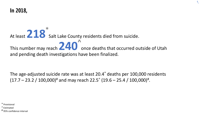<span id="page-3-0"></span>**In 2018,**

#### At least  $\triangle$   $\triangle$   $\heartsuit$  Salt Lake County residents died from suicide. **218 \* 240^** This number may reach  $\triangle$   $\Box$  once deaths that occurred outside of Utah and pending death investigations have been finalized.

The age-adjusted suicide rate was at least 20.4\* deaths per 100,000 residents  $(17.7 - 23.2 / 100,000)^{\text{\#}}$  and may reach 22.5<sup>^</sup> (19.6 – 25.4 / 100,000)<sup>#</sup>.

\* Provisional

^ Estimated

# 95% confidence interval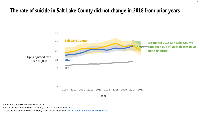#### <span id="page-4-0"></span>**The rate of suicide in Salt Lake County did not change in 2018 from prior years**



 $\hat{\mathcal{L}}$ 

**Year**

Shaded areas are 95% confidence intervals Utah suicide age-adjusted mortality rate, 2009-17, available from [IBIS](https://ibis.health.utah.gov/query/builder/mort/InjMortCntyICD10/AgeRate.html) U.S. suicide age-adjusted mortality rate, 2009-17, available from [CDC National Center for Health Statistics](https://www.cdc.gov/nchs/products/databriefs/db330.htm)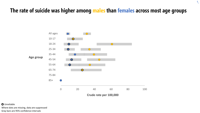### <span id="page-5-0"></span>**The rate of suicide was higher among males than females across most age groups**

 $\hat{\mathcal{L}}$ 



Where dots are missing, data are suppressed **O** Unreliable Gray bars are 95% confidence intervals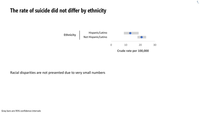### <span id="page-6-0"></span>**The rate of suicide did not differ by ethnicity**



 $\hat{\mathcal{L}}$ 

Racial disparities are not presented due to very small numbers

Gray bars are 95% confidence intervals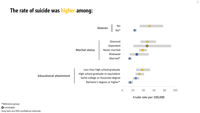#### <span id="page-7-0"></span>**The rate of suicide was higher among:**



**Crude rate per 100,000**

 $\hat{\mathcal{L}}$ 

\*Reference group **O** Unreliable Gray bars are 95% confidence intervals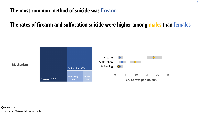#### <span id="page-8-0"></span>**The most common method of suicide was firearm**

### **The rates of firearm and suffocation suicide were higher among males than females**

 $\hat{\mathcal{L}}$ 

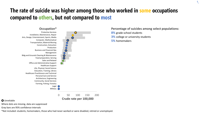### <span id="page-9-0"></span>**The rate of suicide was higher among those who worked in some occupations compared to others, but not compared to most**



**Crude rate per 100,000**

#### **O** Unreliable

Where dots are missing, data are suppressed

Gray bars are 95% confidence intervals

\*Not included: students, homemakers, those who had never worked or were disabled, retired or unemployed.

**Percentage of suicides among select populations:**

- **8%** grade-school students
- **3%** college or university students
- **5%** homemakers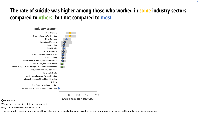### <span id="page-10-0"></span>**The rate of suicide was higher among those who worked in some industry sectors compared to others, but not compared to most**

 $\mathcal{L}$ 



0 50 100 150 200 **Crude rate per 100,000**

#### **O** Unreliable

Where dots are missing, data are suppressed

Gray bars are 95% confidence intervals

\*Not included: students, homemakers, those who had never worked or were disabled, retired, unemployed or worked in the public administration sector.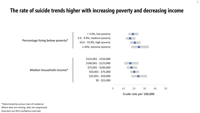### <span id="page-11-0"></span>**The rate of suicide trends higher with increasing poverty and decreasing income**

 $\hat{\mathcal{L}}$ 



\*Determined by census tract of residence Gray bars are 95% confidence intervals Where dots are missing, data are suppressed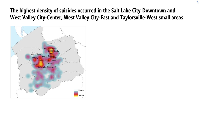### <span id="page-12-0"></span>**The highest density of suicides occurred in the Salt Lake City-Downtown and West Valley City-Center, West Valley City-East and Taylorsville-West small areas**

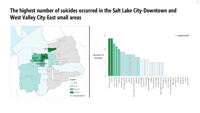### <span id="page-13-0"></span>**The highest number of suicides occurred in the Salt Lake City-Downtown and West Valley City-East small areas**

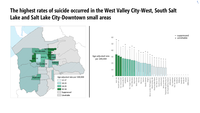#### <span id="page-14-0"></span>**The highest rates of suicide occurred in the West Valley City-West, South Salt Lake and Salt Lake City-Downtown small areas**

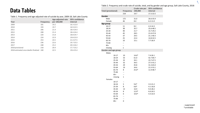#### Table 2. Frequency and crude rate of suicide, total, and by gender and age group, Salt Lake County, 2018

## <span id="page-15-0"></span>**Data Tables**

| Table 1. Frequency and age-adjusted rate of suicide by year, 2009-18, Salt Lake County |  |  |  |
|----------------------------------------------------------------------------------------|--|--|--|
|----------------------------------------------------------------------------------------|--|--|--|

| Year                                 | <b>Frequency</b> | Age-adjusted rate<br>per 100,000 | 95% confidence<br>interval |
|--------------------------------------|------------------|----------------------------------|----------------------------|
| 2009                                 | 181              | 19.2                             | 16.3-22.0                  |
| 2010                                 | 193              | 19.7                             | 16.9-22.5                  |
| 2011                                 | 206              | 21.4                             | 18.4-24.4                  |
| 2012                                 | 208              | 21.4                             | 18.4-24.4                  |
| 2013                                 | 220              | 21.8                             | 18.8-24.7                  |
| 2014                                 | 224              | 22.9                             | 19.8-25.9                  |
| 2015                                 | 253              | 24.5                             | 21.4-27.5                  |
| 2016                                 | 236              | 22.6                             | 19.7-25.5                  |
| 2017                                 | 248              | 23.2                             | $20.3 - 26.2$              |
| 2018 provisional                     | 218              | 20.4                             | 17.7-23.2                  |
| 2018 estimated once deaths finalized | 240              | 22.5                             | 19.6-25.4                  |

|           |                             | Crude rate per           | 95% confidence |              |  |
|-----------|-----------------------------|--------------------------|----------------|--------------|--|
|           | <b>Total (provisional)</b>  | <b>Frequency</b>         | 100,000        | interval     |  |
|           |                             | 218                      | 19.7           | 17.2-22.5    |  |
| Gender    |                             |                          |                |              |  |
| Male      |                             | 172                      | 31.0           | 26.6-35.9    |  |
|           | Female                      | 46                       | 8.4            | $6.2 - 11.0$ |  |
| Age group |                             |                          |                |              |  |
| $10 - 17$ |                             | 11                       | 8.2            | $4.3 - 14.3$ |  |
| 18-24     |                             | 38                       | 35.7           | 25.6-48.5    |  |
| 25-34     |                             | 40                       | 21.7           | 15.7-29.2    |  |
| 35-44     |                             | 45                       | 28.5           | 21.0-37.8    |  |
| 45-54     |                             | 37                       | 29.5           | 21.1-40.3    |  |
| 55-64     |                             | 25                       | 22.4           | 14.8-32.5    |  |
| 65-74     |                             | 10                       | 15.1           | $7.7 - 26.9$ |  |
| 75-84     |                             | --                       |                |              |  |
| $85+$     |                             | --                       |                |              |  |
|           | missing                     | $\mathbf 1$              |                |              |  |
|           | <b>Gender and age group</b> |                          |                |              |  |
| Males     |                             |                          |                |              |  |
|           | 10-17                       | 10                       | $14.6*$        | 7.4-26.1     |  |
|           | 18-24                       | 33                       | 61.0           | 42.7-84.7    |  |
|           | 25-34                       | 32                       | 34.1           | 23.7-47.5    |  |
|           | 35-44                       | 32                       | 39.5           | 27.5-55.2    |  |
|           | 45-54                       | 29                       | 45.8           | 31.3-65.0    |  |
|           | 55-64                       | 19                       | 34.6           | 21.5-53.1    |  |
|           | 65-74                       | 8                        | $25.6*$        | 11.9-48.7    |  |
|           | 75-84                       | $\overline{a}$           |                |              |  |
|           | $85+$                       | --                       |                |              |  |
|           | missing                     | 1                        |                |              |  |
|           | Females                     |                          |                |              |  |
|           | $10 - 17$                   | --                       |                |              |  |
|           | 18-24                       | 5                        | $9.6*$         | $3.5 - 21.2$ |  |
|           | 25-34                       | 8                        | $8.8*$         | $4.1 - 16.8$ |  |
|           | 35-44                       | 13                       | 16.9           | 9.4-28.2     |  |
|           | 45-54                       | 8                        | $12.9*$        | $6.0 - 24.5$ |  |
|           | 55-64                       | 6                        | $10.6*$        | 4.3-22.0     |  |
|           | 65-74                       | $\overline{\phantom{a}}$ |                |              |  |
|           | 75-84                       | $\overline{a}$           |                |              |  |
|           | $85+$                       | 0                        |                |              |  |
|           |                             |                          |                |              |  |

 $\hat{\mathcal{L}}$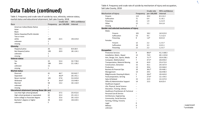## **Data Tables (continued)**

Table 3. Frequency and crude rate of suicide by race, ethnicity, veteran status, marital status and educational attainment, Salt Lake County, 2018

|                                              |                  | <b>Crude rate</b> | 95% confidence |  |
|----------------------------------------------|------------------|-------------------|----------------|--|
| Race                                         | <b>Frequency</b> | per 100,000       | interval       |  |
| American Indian/Alaska Native                |                  |                   |                |  |
| Asian                                        |                  |                   |                |  |
| <b>Black</b>                                 |                  |                   |                |  |
| Native Hawaiian/Pacific Islander             |                  |                   |                |  |
| Two or more                                  | $-$              |                   |                |  |
| white                                        | 200              | 22.5              | 19.6-25.8      |  |
| unknown                                      | $\mathbf{1}$     |                   |                |  |
| missing                                      | $\mathbf{1}$     |                   |                |  |
| <b>Ethnicity</b>                             |                  |                   |                |  |
| Hispanic/Latino                              | 26               | 13.1              | $8.8 - 18.9$   |  |
| Not Hispanic/Latino                          | 190              | 20.9              | 18.1-24.1      |  |
| unknown                                      | $\mathbf{1}$     |                   |                |  |
| missing                                      | $\mathbf{1}$     |                   |                |  |
| <b>Veteran status</b>                        |                  |                   |                |  |
| Yes                                          | 22               | 52.4              | 33.7-78.0      |  |
| No                                           | 184              | 24.4              | 21.1-28.2      |  |
| unknown                                      | 11               |                   |                |  |
| missing                                      | $\mathbf{1}$     |                   |                |  |
| <b>Marital status</b>                        |                  |                   |                |  |
| Divorced                                     | 41               | 46.7              | 33.9-62.7      |  |
| Separated                                    | $\overline{7}$   | $46.0*$           | 20.1-91.1      |  |
| Never married                                | 101              | 37.8              | 31.0-45.8      |  |
| Widowed                                      | 9                | $26.6*$           | 13.0-48.9      |  |
| Married                                      | 58               | 13.2              | 10.1-16.9      |  |
| unknown                                      | $\mathbf{1}$     |                   |                |  |
| missing                                      | 1                |                   |                |  |
| Educational attainment (among those 18+ yrs) |                  |                   |                |  |
| Less than high school graduate               | 31               | 37.5              | 25.9-52.6      |  |
| High school graduate or equivalent           | 62               | 32.4              | 25.1-41.3      |  |
| Some college or Associate degree             | 72               | 25.6              | 20.1-32.0      |  |
| Bachelor's degree or higher                  | 36               | 15.0              | 10.6-20.5      |  |
| unknown                                      | 5                |                   |                |  |

Table 4. Frequency and crude rate of suicide by mechanism of injury and occupation, Salt Lake County, 2018

|                                                 |                  | <b>Crude rate</b> | 95% confidence |
|-------------------------------------------------|------------------|-------------------|----------------|
| <b>Mechanism of injury</b>                      | <b>Frequency</b> | per 100,000       | interval       |
| Firearm                                         | 113              | 10.2              | $8.5 - 12.2$   |
| Suffocation                                     | 71               | 6.4               | $5.1 - 8.1$    |
| Poisoning                                       | 21               | 1.9               | $1.2 - 2.9$    |
| Other                                           | 12               | 1.1               | $0.6 - 1.8$    |
| missing                                         | $\mathbf{1}$     |                   |                |
| Gender and selected mechanisms of injury        |                  |                   |                |
| <b>Males</b>                                    |                  |                   |                |
| Firearm                                         | 101              | 18.2              | 14.9-22.0      |
| Suffocation                                     | 53               | 9.5               | $7.2 - 12.4$   |
| Poisoning                                       | 9                | $1.6*$            | $0.8 - 3.0$    |
| Females                                         |                  |                   |                |
| Firearm                                         | 12               | 2.2               | $1.2 - 3.7$    |
| Suffocation                                     | 18               | 3.3               | $2.0 - 5.1$    |
| Poisoning                                       | 12               | 2.2               | $1.2 - 3.7$    |
| <b>Occupation</b>                               |                  |                   |                |
| <b>Protective Services</b>                      | 8                | 88.6*             | 41.2-168.3     |
| Installation, Maint., Repair                    | 12               | 74.0              | 40.1-125.8     |
| Arts, Design, Ent., Sports, Media               | 8                | $72.7*$           | 33.8-138.1     |
| Computer, Mathematical                          | $\overline{7}$   | 47.5*             | 20.8-94.0      |
| <b>Transportation, Material Moving</b>          | 14               | 43.9              | 25.0-72.0      |
| Construction, Extraction                        | 15               | 42.1              | 24.5-67.9      |
| Production                                      | 13               | 39.6              | 22.0-66.0      |
| <b>Business &amp; Financial Ops</b>             | 10               | $38.2*$           | 19.4-68.1      |
| Management                                      | 14               | 29.5              | 16.8-48.4      |
| Bldg/Grounds Cleaning & Maint.                  | 5                | $28.4*$           | 10.4-63.0      |
| Food preparation, Serving                       | 7                | $27.6*$           | 12.1-54.5      |
| Sales & Related                                 | 15               | 22.9              | 13.3-37.0      |
| Office & Administrative Support                 | 14               | 15.5              | $8.8 - 25.4$   |
| <b>Healthcare Support</b>                       | $\overline{a}$   |                   |                |
| Life, Physical, Social Science                  | -−               |                   |                |
| Education, Training, Library                    | $-$              |                   |                |
| <b>Healthcare Practitioners &amp; Technical</b> | --               |                   |                |
| Personal Care & Service                         | --               |                   |                |
| Architecture, Engineering                       |                  |                   |                |
| Community, Social Services                      | --               |                   |                |
| Farming, Fishing, Forestry                      | --               |                   |                |
| Legal                                           | 0                |                   |                |
| Military                                        | 0                |                   |                |
| unknown                                         | $\overline{7}$   |                   |                |

 $\mathcal{L}$